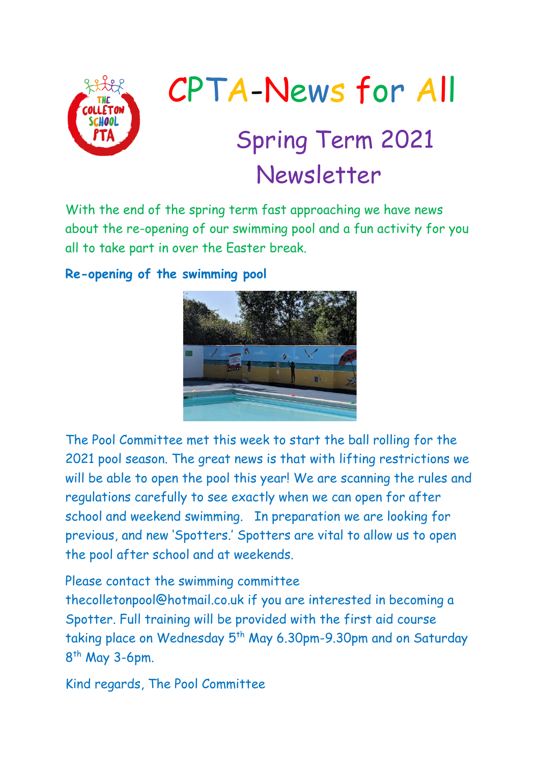

# CPTA-News for All Spring Term 2021 Newsletter

With the end of the spring term fast approaching we have news about the re-opening of our swimming pool and a fun activity for you all to take part in over the Easter break.

### **Re-opening of the swimming pool**



The Pool Committee met this week to start the ball rolling for the 2021 pool season. The great news is that with lifting restrictions we will be able to open the pool this year! We are scanning the rules and regulations carefully to see exactly when we can open for after school and weekend swimming. In preparation we are looking for previous, and new 'Spotters.' Spotters are vital to allow us to open the pool after school and at weekends.

Please contact the swimming committee

thecolletonpool@hotmail.co.uk if you are interested in becoming a Spotter. Full training will be provided with the first aid course taking place on Wednesday 5<sup>th</sup> May 6.30pm-9.30pm and on Saturday 8<sup>th</sup> May 3-6pm.

Kind regards, The Pool Committee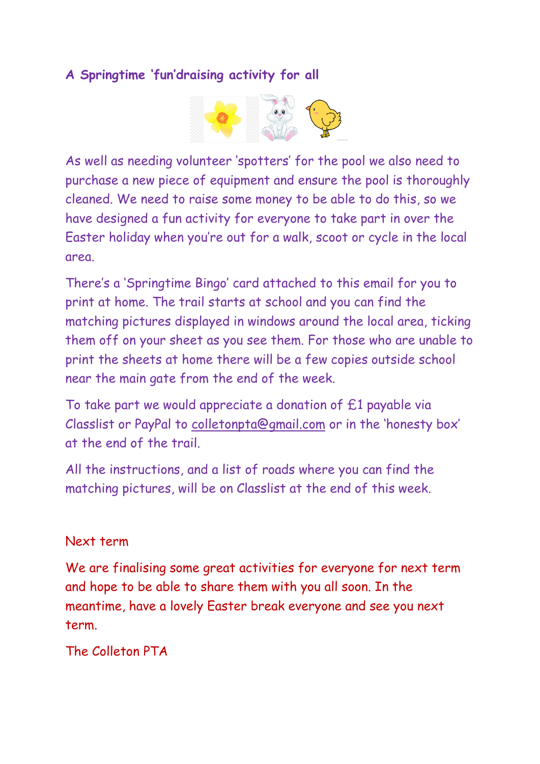## **A Springtime 'fun'draising activity for all**



As well as needing volunteer 'spotters' for the pool we also need to purchase a new piece of equipment and ensure the pool is thoroughly cleaned. We need to raise some money to be able to do this, so we have designed a fun activity for everyone to take part in over the Easter holiday when you're out for a walk, scoot or cycle in the local area.

There's a 'Springtime Bingo' card attached to this email for you to print at home. The trail starts at school and you can find the matching pictures displayed in windows around the local area, ticking them off on your sheet as you see them. For those who are unable to print the sheets at home there will be a few copies outside school near the main gate from the end of the week.

To take part we would appreciate a donation of £1 payable via Classlist or PayPal to [colletonpta@gmail.com](mailto:colletonpta@gmail.com) or in the 'honesty box' at the end of the trail.

All the instructions, and a list of roads where you can find the matching pictures, will be on Classlist at the end of this week.

#### Next term

We are finalising some great activities for everyone for next term and hope to be able to share them with you all soon. In the meantime, have a lovely Easter break everyone and see you next term.

## The Colleton PTA